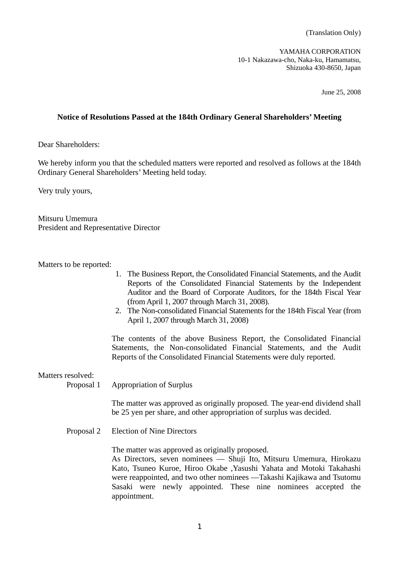YAMAHA CORPORATION 10-1 Nakazawa-cho, Naka-ku, Hamamatsu, Shizuoka 430-8650, Japan

June 25, 2008

## **Notice of Resolutions Passed at the 184th Ordinary General Shareholders' Meeting**

Dear Shareholders:

We hereby inform you that the scheduled matters were reported and resolved as follows at the 184th Ordinary General Shareholders' Meeting held today.

Very truly yours,

Mitsuru Umemura President and Representative Director

Matters to be reported:

- 1. The Business Report, the Consolidated Financial Statements, and the Audit Reports of the Consolidated Financial Statements by the Independent Auditor and the Board of Corporate Auditors, for the 184th Fiscal Year (from April 1, 2007 through March 31, 2008).
- 2. The Non-consolidated Financial Statements for the 184th Fiscal Year (from April 1, 2007 through March 31, 2008)

 The contents of the above Business Report, the Consolidated Financial Statements, the Non-consolidated Financial Statements, and the Audit Reports of the Consolidated Financial Statements were duly reported.

Matters resolved:

Proposal 1 Appropriation of Surplus

 The matter was approved as originally proposed. The year-end dividend shall be 25 yen per share, and other appropriation of surplus was decided.

Proposal 2 Election of Nine Directors

The matter was approved as originally proposed.

 As Directors, seven nominees –– Shuji Ito, Mitsuru Umemura, Hirokazu Kato, Tsuneo Kuroe, Hiroo Okabe ,Yasushi Yahata and Motoki Takahashi were reappointed, and two other nominees —Takashi Kajikawa and Tsutomu Sasaki were newly appointed. These nine nominees accepted the appointment.